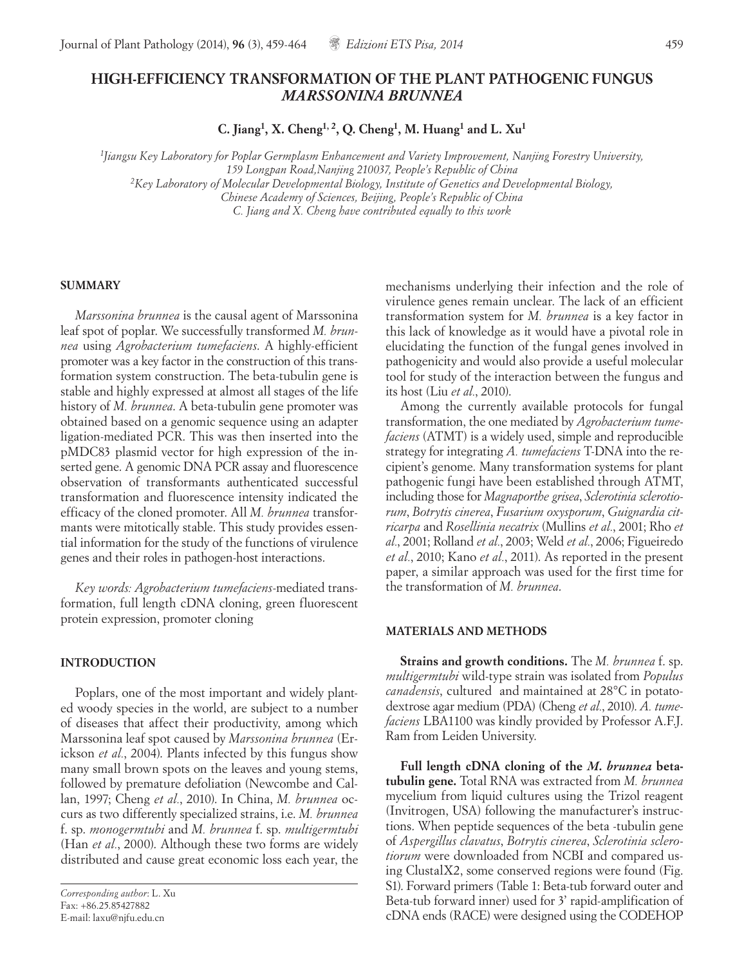# **HIGH-EFFICIENCY TRANSFORMATION OF THE PLANT PATHOGENIC FUNGUS** *MARSSONINA BRUNNEA*

**C. Jiang1, X. Cheng1, 2, Q. Cheng1, M. Huang1 and L. Xu1**

*1 Jiangsu Key Laboratory for Poplar Germplasm Enhancement and Variety Improvement, Nanjing Forestry University, 159 Longpan Road,Nanjing 210037, People's Republic of China 2Key Laboratory of Molecular Developmental Biology, Institute of Genetics and Developmental Biology, Chinese Academy of Sciences, Beijing, People's Republic of China*

*C. Jiang and X. Cheng have contributed equally to this work*

### **SUMMARY**

*Marssonina brunnea* is the causal agent of Marssonina leaf spot of poplar. We successfully transformed *M. brunnea* using *Agrobacterium tumefaciens*. A highly-efficient promoter was a key factor in the construction of this transformation system construction. The beta-tubulin gene is stable and highly expressed at almost all stages of the life history of *M. brunnea*. A beta-tubulin gene promoter was obtained based on a genomic sequence using an adapter ligation-mediated PCR. This was then inserted into the pMDC83 plasmid vector for high expression of the inserted gene. A genomic DNA PCR assay and fluorescence observation of transformants authenticated successful transformation and fluorescence intensity indicated the efficacy of the cloned promoter. All *M. brunnea* transformants were mitotically stable. This study provides essential information for the study of the functions of virulence genes and their roles in pathogen-host interactions.

*Key words: Agrobacterium tumefaciens*-mediated transformation, full length cDNA cloning, green fluorescent protein expression, promoter cloning

### **INTRODUCTION**

Poplars, one of the most important and widely planted woody species in the world, are subject to a number of diseases that affect their productivity, among which Marssonina leaf spot caused by *Marssonina brunnea* (Erickson *et al.*, 2004). Plants infected by this fungus show many small brown spots on the leaves and young stems, followed by premature defoliation (Newcombe and Callan, 1997; Cheng *et al.*, 2010). In China, *M. brunnea* occurs as two differently specialized strains, i.e. *M. brunnea* f. sp. *monogermtubi* and *M. brunnea* f. sp. *multigermtubi* (Han *et al.*, 2000). Although these two forms are widely distributed and cause great economic loss each year, the

*Corresponding author*: L. Xu Fax: +86.25.85427882 E-mail: laxu@njfu.edu.cn

mechanisms underlying their infection and the role of virulence genes remain unclear. The lack of an efficient transformation system for *M. brunnea* is a key factor in this lack of knowledge as it would have a pivotal role in elucidating the function of the fungal genes involved in pathogenicity and would also provide a useful molecular tool for study of the interaction between the fungus and its host (Liu *et al.*, 2010).

Among the currently available protocols for fungal transformation, the one mediated by *Agrobacterium tumefaciens* (ATMT) is a widely used, simple and reproducible strategy for integrating *A. tumefaciens* T-DNA into the recipient's genome. Many transformation systems for plant pathogenic fungi have been established through ATMT, including those for *Magnaporthe grisea*, *Sclerotinia sclerotiorum*, *Botrytis cinerea*, *Fusarium oxysporum*, *Guignardia citricarpa* and *Rosellinia necatrix* (Mullins *et al.*, 2001; Rho *et al.*, 2001; Rolland *et al.*, 2003; Weld *et al.*, 2006; Figueiredo *et al.*, 2010; Kano *et al.*, 2011). As reported in the present paper, a similar approach was used for the first time for the transformation of *M. brunnea*.

### **MATERIALS AND METHODS**

**Strains and growth conditions.** The *M. brunnea* f. sp. *multigermtubi* wild-type strain was isolated from *Populus canadensis*, culturedand maintained at 28°C in potatodextrose agar medium (PDA) (Cheng *et al.*, 2010). *A. tumefaciens* LBA1100 was kindly provided by Professor A.F.J. Ram from Leiden University.

**Full length cDNA cloning of the** *M. brunnea* **betatubulin gene.** Total RNA was extracted from *M. brunnea* mycelium from liquid cultures using the Trizol reagent (Invitrogen, USA) following the manufacturer's instructions. When peptide sequences of the beta -tubulin gene of *Aspergillus clavatus*, *Botrytis cinerea*, *Sclerotinia sclerotiorum* were downloaded from NCBI and compared using ClustalX2, some conserved regions were found (Fig. S1). Forward primers (Table 1: Beta-tub forward outer and Beta-tub forward inner) used for 3' rapid-amplification of cDNA ends (RACE) were designed using the CODEHOP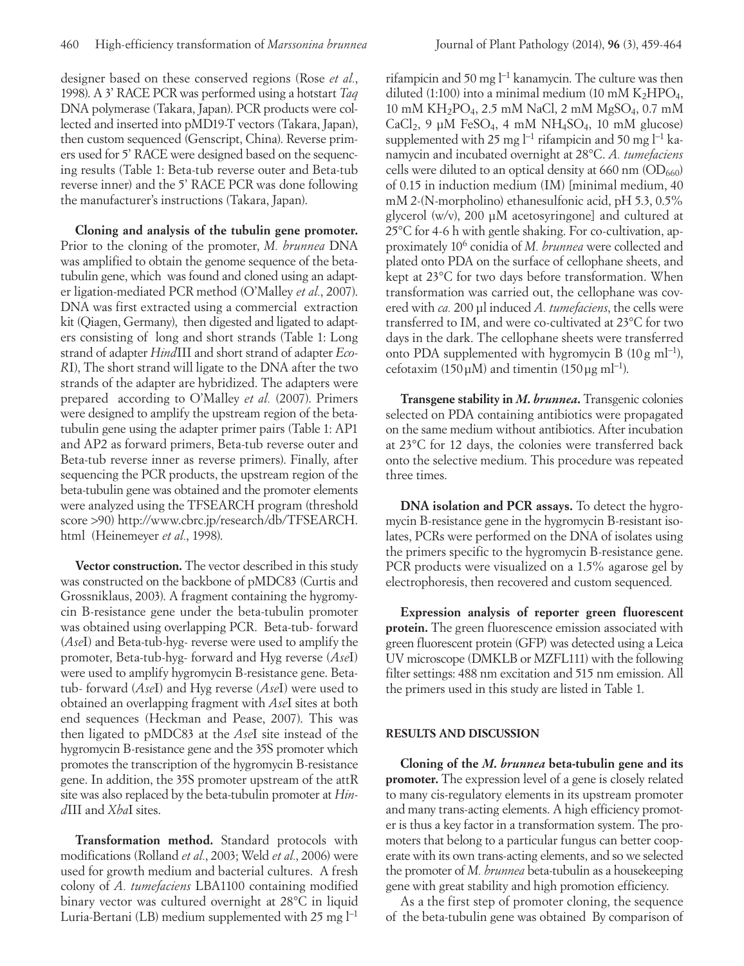designer based on these conserved regions (Rose *et al.*, 1998). A 3' RACE PCR was performed using a hotstart *Taq* DNA polymerase (Takara, Japan). PCR products were collected and inserted into pMD19-T vectors (Takara, Japan), then custom sequenced (Genscript, China). Reverse primers used for 5' RACE were designed based on the sequencing results (Table 1: Beta-tub reverse outer and Beta-tub reverse inner) and the 5' RACE PCR was done following the manufacturer's instructions (Takara, Japan).

**Cloning and analysis of the tubulin gene promoter.**  Prior to the cloning of the promoter, *M. brunnea* DNA was amplified to obtain the genome sequence of the betatubulin gene, which was found and cloned using an adapter ligation-mediated PCR method (O'Malley *et al.*, 2007). DNA was first extracted using a commercial extraction kit (Qiagen, Germany), then digested and ligated to adapters consisting of long and short strands (Table 1: Long strand of adapter *Hind*III and short strand of adapter *Eco-R*I), The short strand will ligate to the DNA after the two strands of the adapter are hybridized. The adapters were prepared according to O'Malley *et al.* (2007). Primers were designed to amplify the upstream region of the betatubulin gene using the adapter primer pairs (Table 1: AP1 and AP2 as forward primers, Beta-tub reverse outer and Beta-tub reverse inner as reverse primers). Finally, after sequencing the PCR products, the upstream region of the beta-tubulin gene was obtained and the promoter elements were analyzed using the TFSEARCH program (threshold score >90) http://www.cbrc.jp/research/db/TFSEARCH. html (Heinemeyer *et al.*, 1998).

**Vector construction.** The vector described in this study was constructed on the backbone of pMDC83 (Curtis and Grossniklaus, 2003). A fragment containing the hygromycin B-resistance gene under the beta-tubulin promoter was obtained using overlapping PCR. Beta-tub- forward (*Ase*I) and Beta-tub-hyg- reverse were used to amplify the promoter, Beta-tub-hyg- forward and Hyg reverse (*Ase*I) were used to amplify hygromycin B-resistance gene. Betatub- forward (*Ase*I) and Hyg reverse (*Ase*I) were used to obtained an overlapping fragment with *Ase*I sites at both end sequences (Heckman and Pease, 2007). This was then ligated to pMDC83 at the *Ase*I site instead of the hygromycin B-resistance gene and the 35S promoter which promotes the transcription of the hygromycin B-resistance gene. In addition, the 35S promoter upstream of the attR site was also replaced by the beta-tubulin promoter at *Hind*III and *Xba*I sites.

**Transformation method.** Standard protocols with modifications (Rolland *et al.*, 2003; Weld *et al.*, 2006) were used for growth medium and bacterial cultures. A fresh colony of *A. tumefaciens* LBA1100 containing modified binary vector was cultured overnight at 28°C in liquid Luria-Bertani (LB) medium supplemented with 25 mg l−1

rifampicin and 50 mg l−1 kanamycin. The culture was then diluted (1:100) into a minimal medium (10 mM  $K<sub>2</sub>HPO<sub>4</sub>$ , 10 mM KH2PO4, 2.5 mM NaCl, 2 mM MgSO4, 0.7 mM  $CaCl<sub>2</sub>$ , 9 μM FeSO<sub>4</sub>, 4 mM NH<sub>4</sub>SO<sub>4</sub>, 10 mM glucose) supplemented with 25 mg  $l^{-1}$  rifampicin and 50 mg  $l^{-1}$  kanamycin and incubated overnight at 28°C. *A. tumefaciens* cells were diluted to an optical density at 660 nm  $(OD_{660})$ of 0.15 in induction medium (IM) [minimal medium, 40 mM 2-(N-morpholino) ethanesulfonic acid, pH 5.3, 0.5% glycerol (w/v), 200 μM acetosyringone] and cultured at 25°C for 4-6 h with gentle shaking. For co-cultivation, approximately 106 conidia of *M. brunnea* were collected and plated onto PDA on the surface of cellophane sheets, and kept at 23°C for two days before transformation. When transformation was carried out, the cellophane was covered with *ca.* 200 μl induced *A. tumefaciens*, the cells were transferred to IM, and were co-cultivated at 23°C for two days in the dark. The cellophane sheets were transferred onto PDA supplemented with hygromycin B  $(10 g \text{ ml}^{-1})$ , cefotaxim (150μM) and timentin (150μg ml<sup>-1</sup>).

**Transgene stability in** *M. brunnea***.** Transgenic colonies selected on PDA containing antibiotics were propagated on the same medium without antibiotics. After incubation at 23°C for 12 days, the colonies were transferred back onto the selective medium. This procedure was repeated three times.

**DNA isolation and PCR assays.** To detect the hygromycin B-resistance gene in the hygromycin B-resistant isolates, PCRs were performed on the DNA of isolates using the primers specific to the hygromycin B-resistance gene. PCR products were visualized on a 1.5% agarose gel by electrophoresis, then recovered and custom sequenced.

**Expression analysis of reporter green fluorescent protein.** The green fluorescence emission associated with green fluorescent protein (GFP) was detected using a Leica UV microscope (DMKLB or MZFL111) with the following filter settings: 488 nm excitation and 515 nm emission. All the primers used in this study are listed in Table 1.

# **RESULTS AND DISCUSSION**

**Cloning of the** *M. brunnea* **beta-tubulin gene and its promoter.** The expression level of a gene is closely related to many cis-regulatory elements in its upstream promoter and many trans-acting elements. A high efficiency promoter is thus a key factor in a transformation system. The promoters that belong to a particular fungus can better cooperate with its own trans-acting elements, and so we selected the promoter of *M. brunnea* beta-tubulin as a housekeeping gene with great stability and high promotion efficiency.

As a the first step of promoter cloning, the sequence of the beta-tubulin gene was obtained By comparison of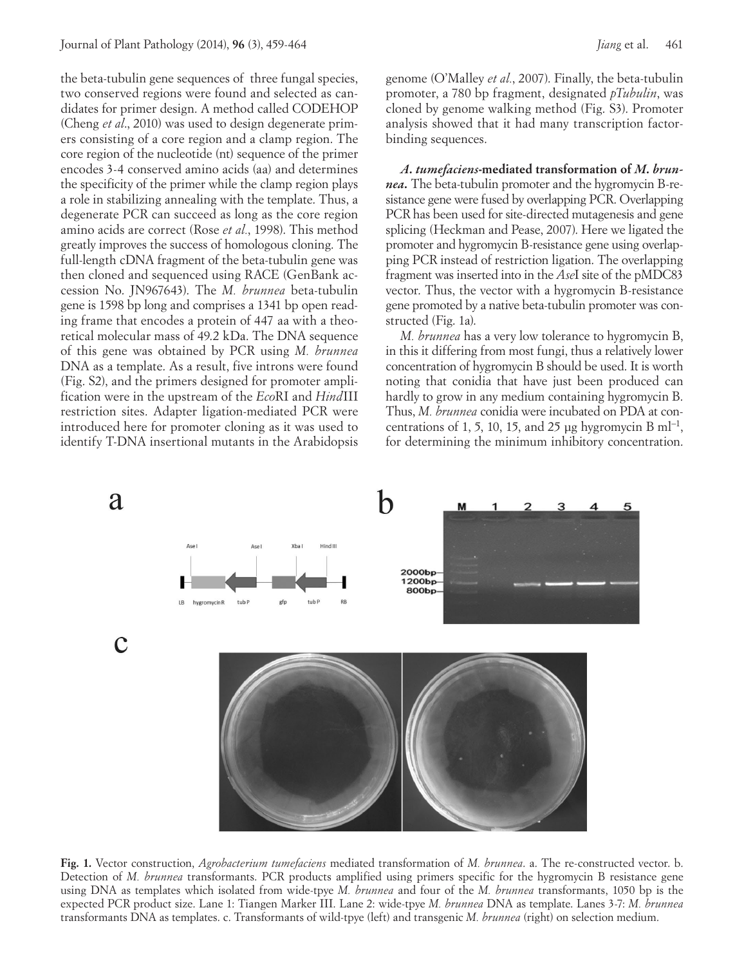the beta-tubulin gene sequences of three fungal species, two conserved regions were found and selected as candidates for primer design. A method called CODEHOP (Cheng *et al*., 2010) was used to design degenerate primers consisting of a core region and a clamp region. The core region of the nucleotide (nt) sequence of the primer encodes 3-4 conserved amino acids (aa) and determines the specificity of the primer while the clamp region plays a role in stabilizing annealing with the template. Thus, a degenerate PCR can succeed as long as the core region amino acids are correct (Rose *et al.*, 1998). This method greatly improves the success of homologous cloning. The full-length cDNA fragment of the beta-tubulin gene was then cloned and sequenced using RACE (GenBank accession No. JN967643). The *M. brunnea* beta-tubulin gene is 1598 bp long and comprises a 1341 bp open reading frame that encodes a protein of 447 aa with a theoretical molecular mass of 49.2 kDa. The DNA sequence of this gene was obtained by PCR using *M. brunnea* DNA as a template. As a result, five introns were found (Fig. S2), and the primers designed for promoter amplification were in the upstream of the *Eco*RI and *Hind*III restriction sites. Adapter ligation-mediated PCR were introduced here for promoter cloning as it was used to identify T-DNA insertional mutants in the Arabidopsis

genome (O'Malley *et al.*, 2007). Finally, the beta-tubulin promoter, a 780 bp fragment, designated *pTubulin*, was cloned by genome walking method (Fig. S3). Promoter analysis showed that it had many transcription factorbinding sequences.

*A. tumefaciens***-mediated transformation of** *M. brunnea.* The beta-tubulin promoter and the hygromycin B-resistance gene were fused by overlapping PCR. Overlapping PCR has been used for site-directed mutagenesis and gene splicing (Heckman and Pease, 2007). Here we ligated the promoter and hygromycin B-resistance gene using overlapping PCR instead of restriction ligation. The overlapping fragment was inserted into in the *Ase*I site of the pMDC83 vector. Thus, the vector with a hygromycin B-resistance gene promoted by a native beta-tubulin promoter was constructed (Fig. 1a).

*M. brunnea* has a very low tolerance to hygromycin B, in this it differing from most fungi, thus a relatively lower concentration of hygromycin B should be used. It is worth noting that conidia that have just been produced can hardly to grow in any medium containing hygromycin B. Thus, *M. brunnea* conidia were incubated on PDA at concentrations of 1, 5, 10, 15, and 25 μg hygromycin B ml<sup>-1</sup>, for determining the minimum inhibitory concentration.



**Fig. 1.** Vector construction, *Agrobacterium tumefaciens* mediated transformation of *M. brunnea*. a. The re-constructed vector. b. Detection of *M. brunnea* transformants. PCR products amplified using primers specific for the hygromycin B resistance gene using DNA as templates which isolated from wide-tpye *M. brunnea* and four of the *M. brunnea* transformants, 1050 bp is the expected PCR product size. Lane 1: Tiangen Marker III. Lane 2: wide-tpye *M. brunnea* DNA as template. Lanes 3-7: *M. brunnea* transformants DNA as templates. c. Transformants of wild-tpye (left) and transgenic *M. brunnea* (right) on selection medium.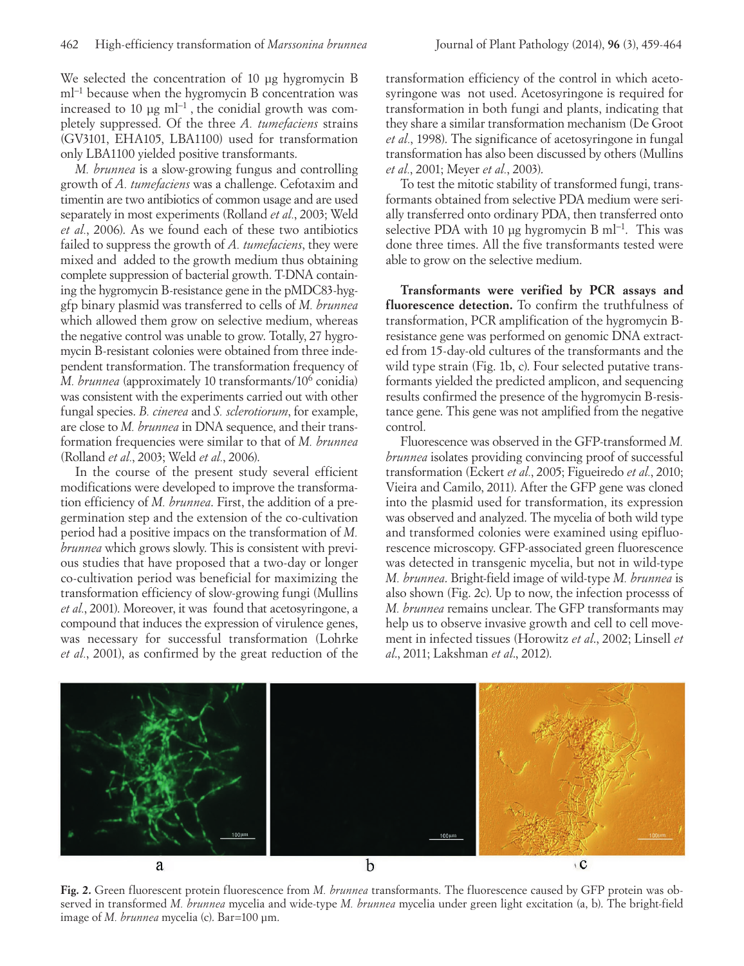We selected the concentration of 10 μg hygromycin B ml<sup>-1</sup> because when the hygromycin B concentration was increased to 10 μg  $ml^{-1}$ , the conidial growth was completely suppressed. Of the three *A. tumefaciens* strains (GV3101, EHA105, LBA1100) used for transformation only LBA1100 yielded positive transformants.

*M. brunnea* is a slow-growing fungus and controlling growth of *A. tumefaciens* was a challenge. Cefotaxim and timentin are two antibiotics of common usage and are used separately in most experiments (Rolland *et al.*, 2003; Weld *et al.*, 2006). As we found each of these two antibiotics failed to suppress the growth of *A. tumefaciens*, they were mixed and added to the growth medium thus obtaining complete suppression of bacterial growth. T-DNA containing the hygromycin B-resistance gene in the pMDC83-hyggfp binary plasmid was transferred to cells of *M. brunnea* which allowed them grow on selective medium, whereas the negative control was unable to grow. Totally, 27 hygromycin B-resistant colonies were obtained from three independent transformation. The transformation frequency of *M. brunnea* (approximately 10 transformants/106 conidia) was consistent with the experiments carried out with other fungal species. *B. cinerea* and *S. sclerotiorum*, for example, are close to *M. brunnea* in DNA sequence, and their transformation frequencies were similar to that of *M. brunnea* (Rolland *et al.*, 2003; Weld *et al.*, 2006).

In the course of the present study several efficient modifications were developed to improve the transformation efficiency of *M. brunnea*. First, the addition of a pregermination step and the extension of the co-cultivation period had a positive impacs on the transformation of *M. brunnea* which grows slowly. This is consistent with previous studies that have proposed that a two-day or longer co-cultivation period was beneficial for maximizing the transformation efficiency of slow-growing fungi (Mullins *et al.*, 2001). Moreover, it was found that acetosyringone, a compound that induces the expression of virulence genes, was necessary for successful transformation (Lohrke *et al.*, 2001), as confirmed by the great reduction of the

transformation efficiency of the control in which acetosyringone was not used. Acetosyringone is required for transformation in both fungi and plants, indicating that they share a similar transformation mechanism (De Groot *et al.*, 1998). The significance of acetosyringone in fungal transformation has also been discussed by others (Mullins *et al.*, 2001; Meyer *et al.*, 2003).

To test the mitotic stability of transformed fungi, transformants obtained from selective PDA medium were serially transferred onto ordinary PDA, then transferred onto selective PDA with 10 μg hygromycin B ml<sup>-1</sup>. This was done three times. All the five transformants tested were able to grow on the selective medium.

**Transformants were verified by PCR assays and fluorescence detection.** To confirm the truthfulness of transformation, PCR amplification of the hygromycin Bresistance gene was performed on genomic DNA extracted from 15-day-old cultures of the transformants and the wild type strain (Fig. 1b, c). Four selected putative transformants yielded the predicted amplicon, and sequencing results confirmed the presence of the hygromycin B-resistance gene. This gene was not amplified from the negative control.

Fluorescence was observed in the GFP-transformed *M. brunnea* isolates providing convincing proof of successful transformation (Eckert *et al.*, 2005; Figueiredo *et al.*, 2010; Vieira and Camilo, 2011). After the GFP gene was cloned into the plasmid used for transformation, its expression was observed and analyzed. The mycelia of both wild type and transformed colonies were examined using epifluorescence microscopy. GFP-associated green fluorescence was detected in transgenic mycelia, but not in wild-type *M. brunnea*. Bright-field image of wild-type *M. brunnea* is also shown (Fig. 2c). Up to now, the infection processs of *M. brunnea* remains unclear. The GFP transformants may help us to observe invasive growth and cell to cell movement in infected tissues (Horowitz *et al*., 2002; Linsell *et al*., 2011; Lakshman *et al*., 2012).



**Fig. 2.** Green fluorescent protein fluorescence from *M. brunnea* transformants. The fluorescence caused by GFP protein was observed in transformed *M. brunnea* mycelia and wide-type *M. brunnea* mycelia under green light excitation (a, b). The bright-field image of *M. brunnea* mycelia (c). Bar=100 μm.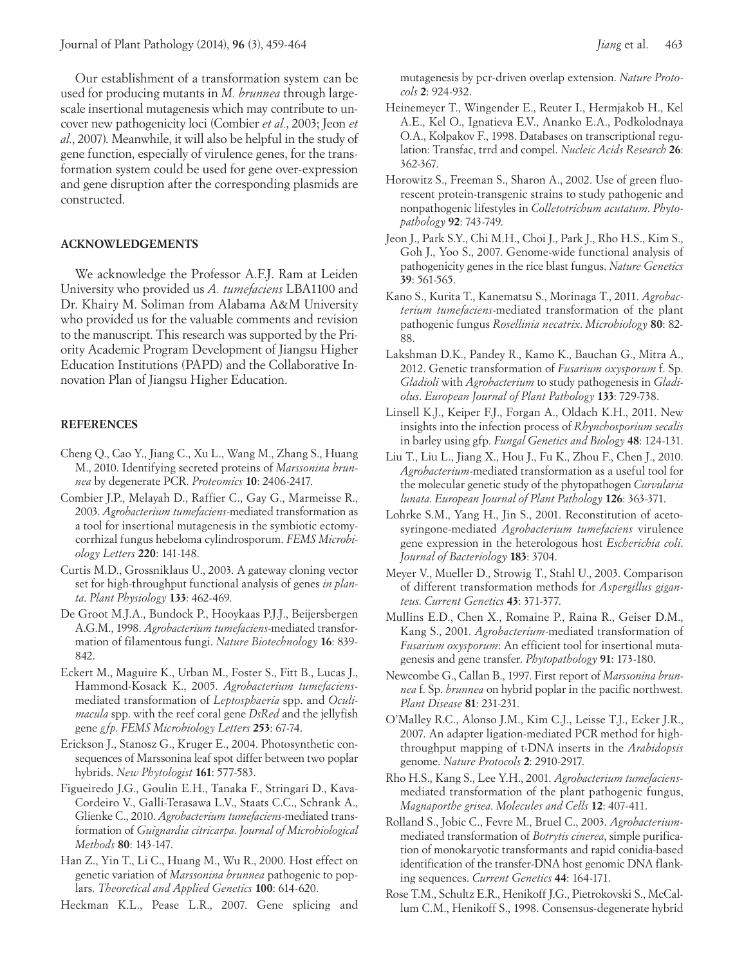Our establishment of a transformation system can be used for producing mutants in *M. brunnea* through largescale insertional mutagenesis which may contribute to uncover new pathogenicity loci (Combier *et al.*, 2003; Jeon *et al.*, 2007). Meanwhile, it will also be helpful in the study of gene function, especially of virulence genes, for the transformation system could be used for gene over-expression and gene disruption after the corresponding plasmids are constructed.

### **ACKNOWLEDGEMENTS**

We acknowledge the Professor A.F.J. Ram at Leiden University who provided us *A. tumefaciens* LBA1100 and Dr. Khairy M. Soliman from Alabama A&M University who provided us for the valuable comments and revision to the manuscript. This research was supported by the Priority Academic Program Development of Jiangsu Higher Education Institutions (PAPD) and the Collaborative Innovation Plan of Jiangsu Higher Education.

### **REFERENCES**

- Cheng Q., Cao Y., Jiang C., Xu L., Wang M., Zhang S., Huang M., 2010. Identifying secreted proteins of *Marssonina brunnea* by degenerate PCR. *Proteomics* **10**: 2406-2417.
- Combier J.P., Melayah D., Raffier C., Gay G., Marmeisse R., 2003. *Agrobacterium tumefaciens*-mediated transformation as a tool for insertional mutagenesis in the symbiotic ectomycorrhizal fungus hebeloma cylindrosporum. *FEMS Microbiology Letters* **220**: 141-148.
- Curtis M.D., Grossniklaus U., 2003. A gateway cloning vector set for high-throughput functional analysis of genes *in planta*. *Plant Physiology* **133**: 462-469.
- De Groot M.J.A., Bundock P., Hooykaas P.J.J., Beijersbergen A.G.M., 1998. *Agrobacterium tumefaciens*-mediated transformation of filamentous fungi. *Nature Biotechnology* **16**: 839- 842.
- Eckert M., Maguire K., Urban M., Foster S., Fitt B., Lucas J., Hammond-Kosack K., 2005. *Agrobacterium tumefaciens*mediated transformation of *Leptosphaeria* spp. and *Oculimacula* spp. with the reef coral gene *DsRed* and the jellyfish gene *gfp*. *FEMS Microbiology Letters* **253**: 67-74.
- Erickson J., Stanosz G., Kruger E., 2004. Photosynthetic consequences of Marssonina leaf spot differ between two poplar hybrids. *New Phytologist* **161**: 577-583.
- Figueiredo J.G., Goulin E.H., Tanaka F., Stringari D., Kava-Cordeiro V., Galli-Terasawa L.V., Staats C.C., Schrank A., Glienke C., 2010. *Agrobacterium tumefaciens*-mediated transformation of *Guignardia citricarpa*. *Journal of Microbiological Methods* **80**: 143-147.
- Han Z., Yin T., Li C., Huang M., Wu R., 2000. Host effect on genetic variation of *Marssonina brunnea* pathogenic to poplars. *Theoretical and Applied Genetics* **100**: 614-620.

Heckman K.L., Pease L.R., 2007. Gene splicing and

mutagenesis by pcr-driven overlap extension. *Nature Protocols* **2**: 924-932.

- Heinemeyer T., Wingender E., Reuter I., Hermjakob H., Kel A.E., Kel O., Ignatieva E.V., Ananko E.A., Podkolodnaya O.A., Kolpakov F., 1998. Databases on transcriptional regulation: Transfac, trrd and compel. *Nucleic Acids Research* **26**: 362-367.
- Horowitz S., Freeman S., Sharon A., 2002. Use of green fluorescent protein-transgenic strains to study pathogenic and nonpathogenic lifestyles in *Colletotrichum acutatum*. *Phytopathology* **92**: 743-749.
- Jeon J., Park S.Y., Chi M.H., Choi J., Park J., Rho H.S., Kim S., Goh J., Yoo S., 2007. Genome-wide functional analysis of pathogenicity genes in the rice blast fungus. *Nature Genetics* **39**: 561-565.
- Kano S., Kurita T., Kanematsu S., Morinaga T., 2011. *Agrobacterium tumefaciens*-mediated transformation of the plant pathogenic fungus *Rosellinia necatrix*. *Microbiology* **80**: 82- 88.
- Lakshman D.K., Pandey R., Kamo K., Bauchan G., Mitra A., 2012. Genetic transformation of *Fusarium oxysporum* f. Sp. *Gladioli* with *Agrobacterium* to study pathogenesis in *Gladiolus*. *European Journal of Plant Pathology* **133**: 729-738.
- Linsell K.J., Keiper F.J., Forgan A., Oldach K.H., 2011. New insights into the infection process of *Rhynchosporium secalis* in barley using gfp. *Fungal Genetics and Biology* **48**: 124-131.
- Liu T., Liu L., Jiang X., Hou J., Fu K., Zhou F., Chen J., 2010. *Agrobacterium*-mediated transformation as a useful tool for the molecular genetic study of the phytopathogen *Curvularia lunata*. *European Journal of Plant Pathology* **126**: 363-371.
- Lohrke S.M., Yang H., Jin S., 2001. Reconstitution of acetosyringone-mediated *Agrobacterium tumefaciens* virulence gene expression in the heterologous host *Escherichia coli*. *Journal of Bacteriology* **183**: 3704.
- Meyer V., Mueller D., Strowig T., Stahl U., 2003. Comparison of different transformation methods for *Aspergillus giganteus*. *Current Genetics* **43**: 371-377.
- Mullins E.D., Chen X., Romaine P., Raina R., Geiser D.M., Kang S., 2001. *Agrobacterium*-mediated transformation of *Fusarium oxysporum*: An efficient tool for insertional mutagenesis and gene transfer. *Phytopathology* **91**: 173-180.
- Newcombe G., Callan B., 1997. First report of *Marssonina brunnea* f. Sp. *brunnea* on hybrid poplar in the pacific northwest. *Plant Disease* **81**: 231-231.
- O'Malley R.C., Alonso J.M., Kim C.J., Leisse T.J., Ecker J.R., 2007. An adapter ligation-mediated PCR method for highthroughput mapping of t-DNA inserts in the *Arabidopsis* genome. *Nature Protocols* **2**: 2910-2917.
- Rho H.S., Kang S., Lee Y.H., 2001. *Agrobacterium tumefaciens*mediated transformation of the plant pathogenic fungus, *Magnaporthe grisea*. *Molecules and Cells* **12**: 407-411.
- Rolland S., Jobic C., Fevre M., Bruel C., 2003. *Agrobacterium*mediated transformation of *Botrytis cinerea*, simple purification of monokaryotic transformants and rapid conidia-based identification of the transfer-DNA host genomic DNA flanking sequences. *Current Genetics* **44**: 164-171.
- Rose T.M., Schultz E.R., Henikoff J.G., Pietrokovski S., McCallum C.M., Henikoff S., 1998. Consensus-degenerate hybrid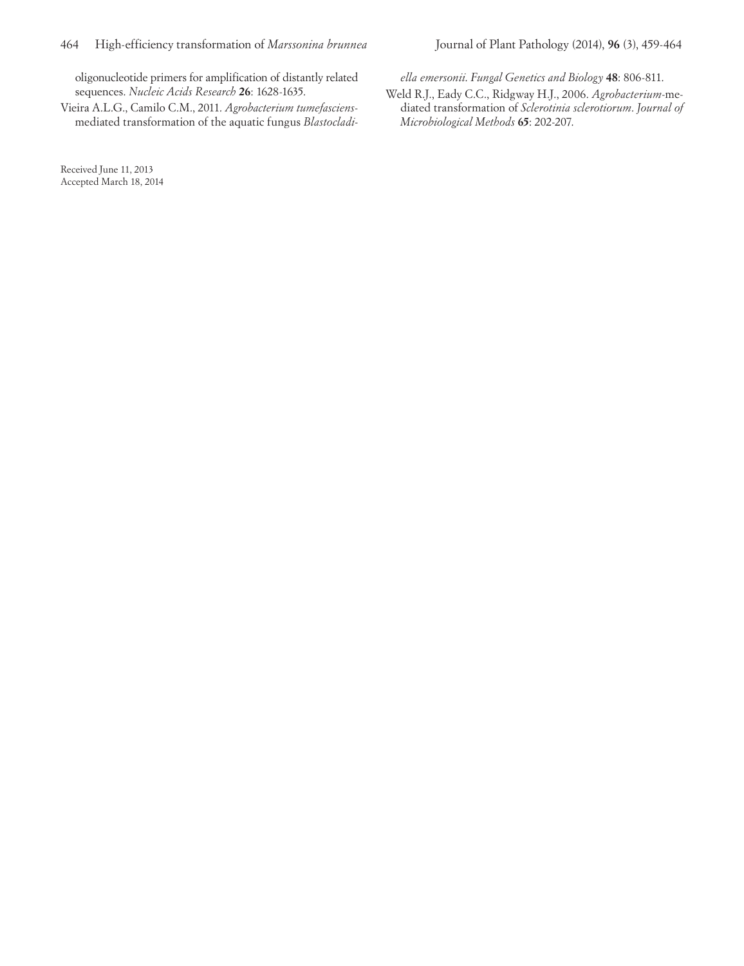oligonucleotide primers for amplification of distantly related sequences. *Nucleic Acids Research* **26**: 1628-1635.

Vieira A.L.G., Camilo C.M., 2011. *Agrobacterium tumefasciens*mediated transformation of the aquatic fungus *Blastocladi-*

Received June 11, 2013 Accepted March 18, 2014 *ella emersonii*. *Fungal Genetics and Biology* **48**: 806-811.

Weld R.J., Eady C.C., Ridgway H.J., 2006. *Agrobacterium*-mediated transformation of *Sclerotinia sclerotiorum*. *Journal of Microbiological Methods* **65**: 202-207.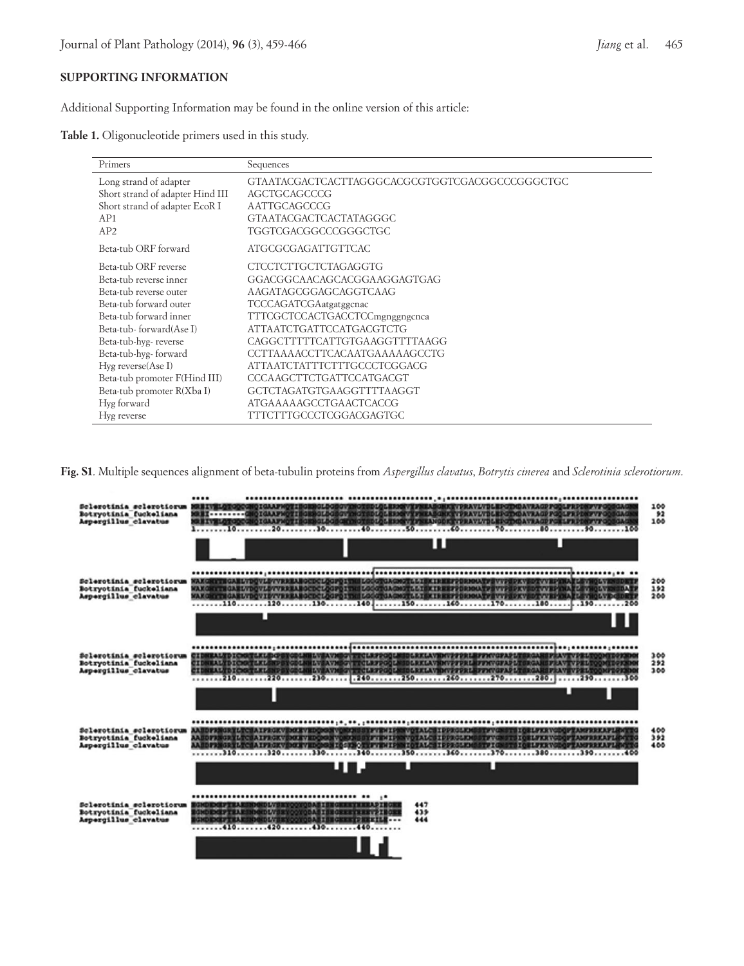## **SUPPORTING INFORMATION**

Additional Supporting Information may be found in the online version of this article:

|  | Table 1. Oligonucleotide primers used in this study. |  |  |  |  |
|--|------------------------------------------------------|--|--|--|--|
|--|------------------------------------------------------|--|--|--|--|

| Primers                          | Sequences                                      |
|----------------------------------|------------------------------------------------|
| Long strand of adapter           | GTAATACGACTCACTTAGGGCACGCGTGGTCGACGGCCCGGGCTGC |
| Short strand of adapter Hind III | AGCTGCAGCCCG                                   |
| Short strand of adapter EcoR I   | AATTGCAGCCCG                                   |
| AP1                              | <b>GTAATACGACTCACTATAGGGC</b>                  |
| AP2                              | TGGTCGACGGCCCGGGCTGC                           |
| Beta-tub ORF forward             | ATGCGCGAGATTGTTCAC                             |
| Beta-tub ORF reverse             | <b>CTCCTCTTGCTCTAGAGGTG</b>                    |
| Beta-tub reverse inner           | GGACGGCAACAGCACGGAAGGAGTGAG                    |
| Beta-tub reverse outer           | AAGATAGCGGAGCAGGTCAAG                          |
| Beta-tub forward outer           | <b>TCCCAGATCGAatgatggcnac</b>                  |
| Beta-tub forward inner           | TTTCGCTCCACTGACCTCCmgnggngcnca                 |
| Beta-tub-forward(Ase I)          | <b>ATTAATCTGATTCCATGACGTCTG</b>                |
| Beta-tub-hyg-reverse             | CAGGCTTTTTCATTGTGAAGGTTTTAAGG                  |
| Beta-tub-hyg-forward             | CCTTAAAACCTTCACAATGAAAAAGCCTG                  |
| $Hyg$ reverse $(Ase I)$          | ATTAATCTATTTCTTTGCCCTCGGACG                    |
| Beta-tub promoter F(Hind III)    | <b>CCCAAGCTTCTGATTCCATGACGT</b>                |
| Beta-tub promoter R(Xba I)       | GCTCTAGATGTGAAGGTTTTAAGGT                      |
| Hyg forward                      | <b>ATGAAAAAGCCTGAACTCACCG</b>                  |
| Hyg reverse                      | TTTCTTTGCCCTCGGACGAGTGC                        |

**Fig. S1**. Multiple sequences alignment of beta-tubulin proteins from *Aspergillus clavatus*, *Botrytis cinerea* and *Sclerotinia sclerotiorum*.